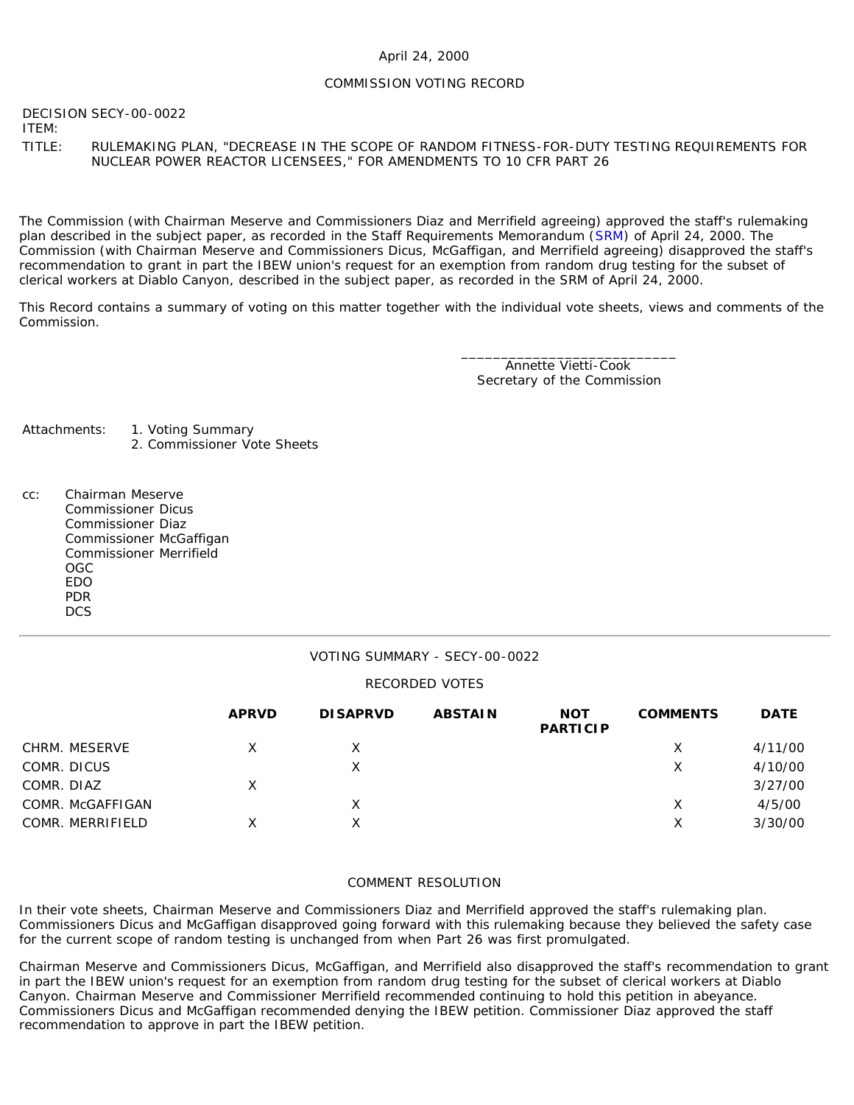### April 24, 2000

### COMMISSION VOTING RECORD

DECISION SECY-00-0022 ITEM:

TITLE: RULEMAKING PLAN, "DECREASE IN THE SCOPE OF RANDOM FITNESS-FOR-DUTY TESTING REQUIREMENTS FOR NUCLEAR POWER REACTOR LICENSEES," FOR AMENDMENTS TO 10 CFR PART 26

The Commission (with Chairman Meserve and Commissioners Diaz and Merrifield agreeing) approved the staff's rulemaking plan described in the subject paper, as recorded in the Staff Requirements Memorandum ([SRM](http://www.nrc.gov/reading-rm/doc-collections/commission/srm/2000/2000-0022srm.html)) of April 24, 2000. The Commission (with Chairman Meserve and Commissioners Dicus, McGaffigan, and Merrifield agreeing) disapproved the staff's recommendation to grant in part the IBEW union's request for an exemption from random drug testing for the subset of clerical workers at Diablo Canyon, described in the subject paper, as recorded in the SRM of April 24, 2000.

This Record contains a summary of voting on this matter together with the individual vote sheets, views and comments of the Commission.

> \_\_\_\_\_\_\_\_\_\_\_\_\_\_\_\_\_\_\_\_\_\_\_\_\_\_\_ Annette Vietti-Cook Secretary of the Commission

Attachments: 1. Voting Summary 2. Commissioner Vote Sheets

cc: Chairman Meserve Commissioner Dicus Commissioner Diaz Commissioner McGaffigan Commissioner Merrifield OGC EDO PDR **DCS** 

### VOTING SUMMARY - SECY-00-0022

### RECORDED VOTES

|                  | <b>APRVD</b> | <b>DISAPRVD</b> | <b>ABSTAIN</b> | <b>NOT</b><br><b>PARTICIP</b> | <b>COMMENTS</b> | <b>DATE</b> |
|------------------|--------------|-----------------|----------------|-------------------------------|-----------------|-------------|
| CHRM. MESERVE    | X            |                 |                |                               | Х               | 4/11/00     |
| COMR. DICUS      |              | X               |                |                               | Х               | 4/10/00     |
| COMR. DIAZ       | Х            |                 |                |                               |                 | 3/27/00     |
| COMR. McGAFFIGAN |              | X               |                |                               | Х               | 4/5/00      |
| COMR. MERRIFIELD | x            | Χ               |                |                               | Х               | 3/30/00     |

### COMMENT RESOLUTION

In their vote sheets, Chairman Meserve and Commissioners Diaz and Merrifield approved the staff's rulemaking plan. Commissioners Dicus and McGaffigan disapproved going forward with this rulemaking because they believed the safety case for the current scope of random testing is unchanged from when Part 26 was first promulgated.

Chairman Meserve and Commissioners Dicus, McGaffigan, and Merrifield also disapproved the staff's recommendation to grant in part the IBEW union's request for an exemption from random drug testing for the subset of clerical workers at Diablo Canyon. Chairman Meserve and Commissioner Merrifield recommended continuing to hold this petition in abeyance. Commissioners Dicus and McGaffigan recommended denying the IBEW petition. Commissioner Diaz approved the staff recommendation to approve in part the IBEW petition.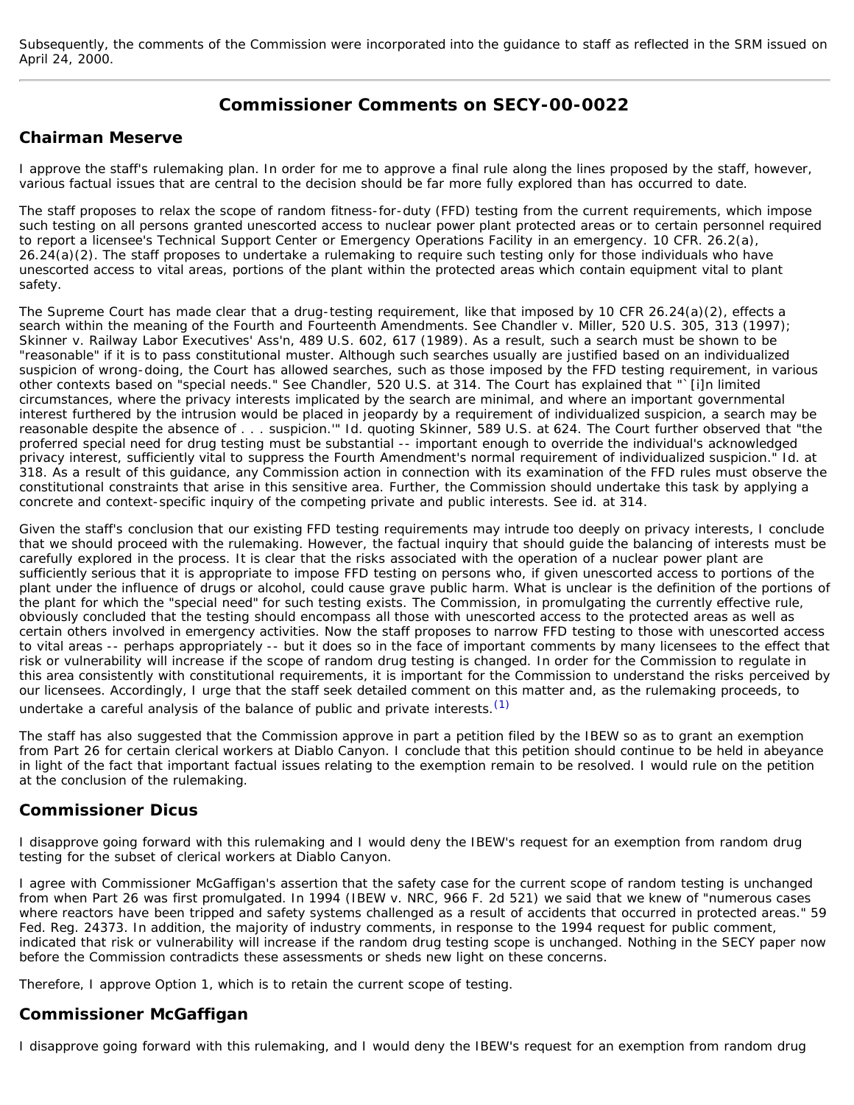Subsequently, the comments of the Commission were incorporated into the guidance to staff as reflected in the SRM issued on April 24, 2000.

# **Commissioner Comments on SECY-00-0022**

## **Chairman Meserve**

I approve the staff's rulemaking plan. In order for me to approve a final rule along the lines proposed by the staff, however, various factual issues that are central to the decision should be far more fully explored than has occurred to date.

The staff proposes to relax the scope of random fitness-for-duty (FFD) testing from the current requirements, which impose such testing on all persons granted unescorted access to nuclear power plant protected areas or to certain personnel required to report a licensee's Technical Support Center or Emergency Operations Facility in an emergency. 10 CFR. 26.2(a), 26.24(a)(2). The staff proposes to undertake a rulemaking to require such testing only for those individuals who have unescorted access to vital areas, portions of the plant within the protected areas which contain equipment vital to plant safety.

The Supreme Court has made clear that a drug-testing requirement, like that imposed by 10 CFR 26.24(a)(2), effects a search within the meaning of the Fourth and Fourteenth Amendments. See Chandler v. Miller, 520 U.S. 305, 313 (1997); Skinner v. Railway Labor Executives' Ass'n, 489 U.S. 602, 617 (1989). As a result, such a search must be shown to be "reasonable" if it is to pass constitutional muster. Although such searches usually are justified based on an individualized suspicion of wrong-doing, the Court has allowed searches, such as those imposed by the FFD testing requirement, in various other contexts based on "special needs." See Chandler, 520 U.S. at 314. The Court has explained that "`[i]n limited circumstances, where the privacy interests implicated by the search are minimal, and where an important governmental interest furthered by the intrusion would be placed in jeopardy by a requirement of individualized suspicion, a search may be reasonable despite the absence of . . . suspicion.'" Id. quoting Skinner, 589 U.S. at 624. The Court further observed that "the proferred special need for drug testing must be substantial -- important enough to override the individual's acknowledged privacy interest, sufficiently vital to suppress the Fourth Amendment's normal requirement of individualized suspicion." Id. at 318. As a result of this guidance, any Commission action in connection with its examination of the FFD rules must observe the constitutional constraints that arise in this sensitive area. Further, the Commission should undertake this task by applying a concrete and context-specific inquiry of the competing private and public interests. See id. at 314.

Given the staff's conclusion that our existing FFD testing requirements may intrude too deeply on privacy interests, I conclude that we should proceed with the rulemaking. However, the factual inquiry that should guide the balancing of interests must be carefully explored in the process. It is clear that the risks associated with the operation of a nuclear power plant are sufficiently serious that it is appropriate to impose FFD testing on persons who, if given unescorted access to portions of the plant under the influence of drugs or alcohol, could cause grave public harm. What is unclear is the definition of the portions of the plant for which the "special need" for such testing exists. The Commission, in promulgating the currently effective rule, obviously concluded that the testing should encompass all those with unescorted access to the protected areas as well as certain others involved in emergency activities. Now the staff proposes to narrow FFD testing to those with unescorted access to vital areas -- perhaps appropriately -- but it does so in the face of important comments by many licensees to the effect that risk or vulnerability will increase if the scope of random drug testing is changed. In order for the Commission to regulate in this area consistently with constitutional requirements, it is important for the Commission to understand the risks perceived by our licensees. Accordingly, I urge that the staff seek detailed comment on this matter and, as the rulemaking proceeds, to undertake a careful analysis of the balance of public and private interests.  $(1)$ 

The staff has also suggested that the Commission approve in part a petition filed by the IBEW so as to grant an exemption from Part 26 for certain clerical workers at Diablo Canyon. I conclude that this petition should continue to be held in abeyance in light of the fact that important factual issues relating to the exemption remain to be resolved. I would rule on the petition at the conclusion of the rulemaking.

## **Commissioner Dicus**

I disapprove going forward with this rulemaking and I would deny the IBEW's request for an exemption from random drug testing for the subset of clerical workers at Diablo Canyon.

I agree with Commissioner McGaffigan's assertion that the safety case for the current scope of random testing is unchanged from when Part 26 was first promulgated. In 1994 (*IBEW v. NRC*, 966 F. 2d 521) we said that we knew of "numerous cases where reactors have been tripped and safety systems challenged as a result of accidents that occurred in protected areas." 59 Fed. Reg. 24373. In addition, the majority of industry comments, in response to the 1994 request for public comment, indicated that risk or vulnerability will increase if the random drug testing scope is unchanged. Nothing in the SECY paper now before the Commission contradicts these assessments or sheds new light on these concerns.

Therefore, I approve Option 1, which is to retain the current scope of testing.

## **Commissioner McGaffigan**

I disapprove going forward with this rulemaking, and I would deny the IBEW's request for an exemption from random drug